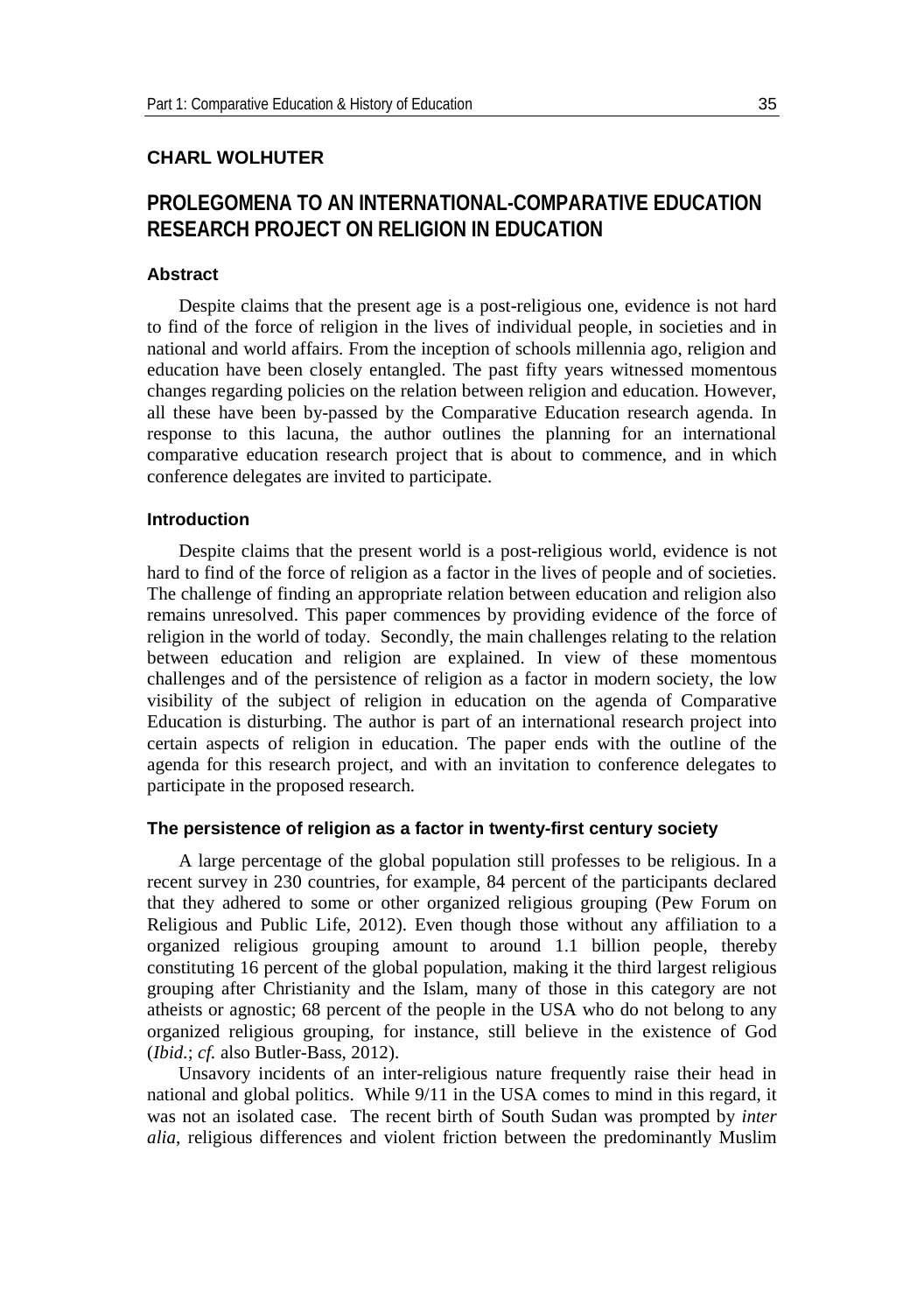# **CHARL WOLHUTER**

# **PROLEGOMENA TO AN INTERNATIONAL-COMPARATIVE EDUCATION RESEARCH PROJECT ON RELIGION IN EDUCATION**

### **Abstract**

Despite claims that the present age is a post-religious one, evidence is not hard to find of the force of religion in the lives of individual people, in societies and in national and world affairs. From the inception of schools millennia ago, religion and education have been closely entangled. The past fifty years witnessed momentous changes regarding policies on the relation between religion and education. However, all these have been by-passed by the Comparative Education research agenda. In response to this lacuna, the author outlines the planning for an international comparative education research project that is about to commence, and in which conference delegates are invited to participate.

# **Introduction**

Despite claims that the present world is a post-religious world, evidence is not hard to find of the force of religion as a factor in the lives of people and of societies. The challenge of finding an appropriate relation between education and religion also remains unresolved. This paper commences by providing evidence of the force of religion in the world of today. Secondly, the main challenges relating to the relation between education and religion are explained. In view of these momentous challenges and of the persistence of religion as a factor in modern society, the low visibility of the subject of religion in education on the agenda of Comparative Education is disturbing. The author is part of an international research project into certain aspects of religion in education. The paper ends with the outline of the agenda for this research project, and with an invitation to conference delegates to participate in the proposed research.

#### **The persistence of religion as a factor in twenty-first century society**

A large percentage of the global population still professes to be religious. In a recent survey in 230 countries, for example, 84 percent of the participants declared that they adhered to some or other organized religious grouping (Pew Forum on Religious and Public Life, 2012). Even though those without any affiliation to a organized religious grouping amount to around 1.1 billion people, thereby constituting 16 percent of the global population, making it the third largest religious grouping after Christianity and the Islam, many of those in this category are not atheists or agnostic; 68 percent of the people in the USA who do not belong to any organized religious grouping, for instance, still believe in the existence of God (*Ibid.*; *cf.* also Butler-Bass, 2012).

Unsavory incidents of an inter-religious nature frequently raise their head in national and global politics. While 9/11 in the USA comes to mind in this regard, it was not an isolated case. The recent birth of South Sudan was prompted by *inter alia*, religious differences and violent friction between the predominantly Muslim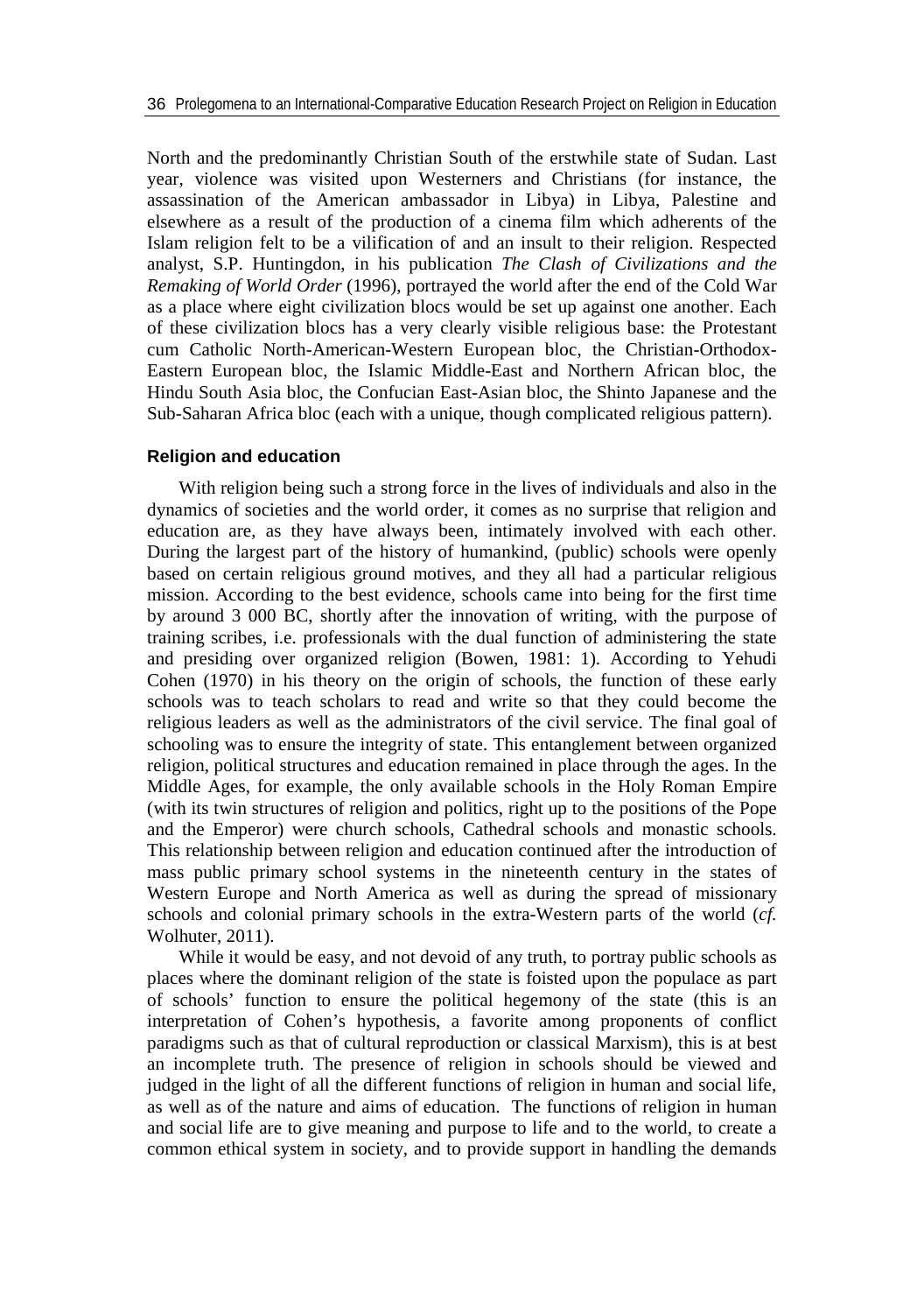North and the predominantly Christian South of the erstwhile state of Sudan. Last year, violence was visited upon Westerners and Christians (for instance, the assassination of the American ambassador in Libya) in Libya, Palestine and elsewhere as a result of the production of a cinema film which adherents of the Islam religion felt to be a vilification of and an insult to their religion. Respected analyst, S.P. Huntingdon, in his publication *The Clash of Civilizations and the Remaking of World Order* (1996), portrayed the world after the end of the Cold War as a place where eight civilization blocs would be set up against one another. Each of these civilization blocs has a very clearly visible religious base: the Protestant cum Catholic North-American-Western European bloc, the Christian-Orthodox-Eastern European bloc, the Islamic Middle-East and Northern African bloc, the Hindu South Asia bloc, the Confucian East-Asian bloc, the Shinto Japanese and the Sub-Saharan Africa bloc (each with a unique, though complicated religious pattern).

# **Religion and education**

With religion being such a strong force in the lives of individuals and also in the dynamics of societies and the world order, it comes as no surprise that religion and education are, as they have always been, intimately involved with each other. During the largest part of the history of humankind, (public) schools were openly based on certain religious ground motives, and they all had a particular religious mission. According to the best evidence, schools came into being for the first time by around 3 000 BC, shortly after the innovation of writing, with the purpose of training scribes, i.e. professionals with the dual function of administering the state and presiding over organized religion (Bowen, 1981: 1). According to Yehudi Cohen (1970) in his theory on the origin of schools, the function of these early schools was to teach scholars to read and write so that they could become the religious leaders as well as the administrators of the civil service. The final goal of schooling was to ensure the integrity of state. This entanglement between organized religion, political structures and education remained in place through the ages. In the Middle Ages, for example, the only available schools in the Holy Roman Empire (with its twin structures of religion and politics, right up to the positions of the Pope and the Emperor) were church schools, Cathedral schools and monastic schools. This relationship between religion and education continued after the introduction of mass public primary school systems in the nineteenth century in the states of Western Europe and North America as well as during the spread of missionary schools and colonial primary schools in the extra-Western parts of the world (*cf.* Wolhuter, 2011).

While it would be easy, and not devoid of any truth, to portray public schools as places where the dominant religion of the state is foisted upon the populace as part of schools' function to ensure the political hegemony of the state (this is an interpretation of Cohen's hypothesis, a favorite among proponents of conflict paradigms such as that of cultural reproduction or classical Marxism), this is at best an incomplete truth. The presence of religion in schools should be viewed and judged in the light of all the different functions of religion in human and social life, as well as of the nature and aims of education. The functions of religion in human and social life are to give meaning and purpose to life and to the world, to create a common ethical system in society, and to provide support in handling the demands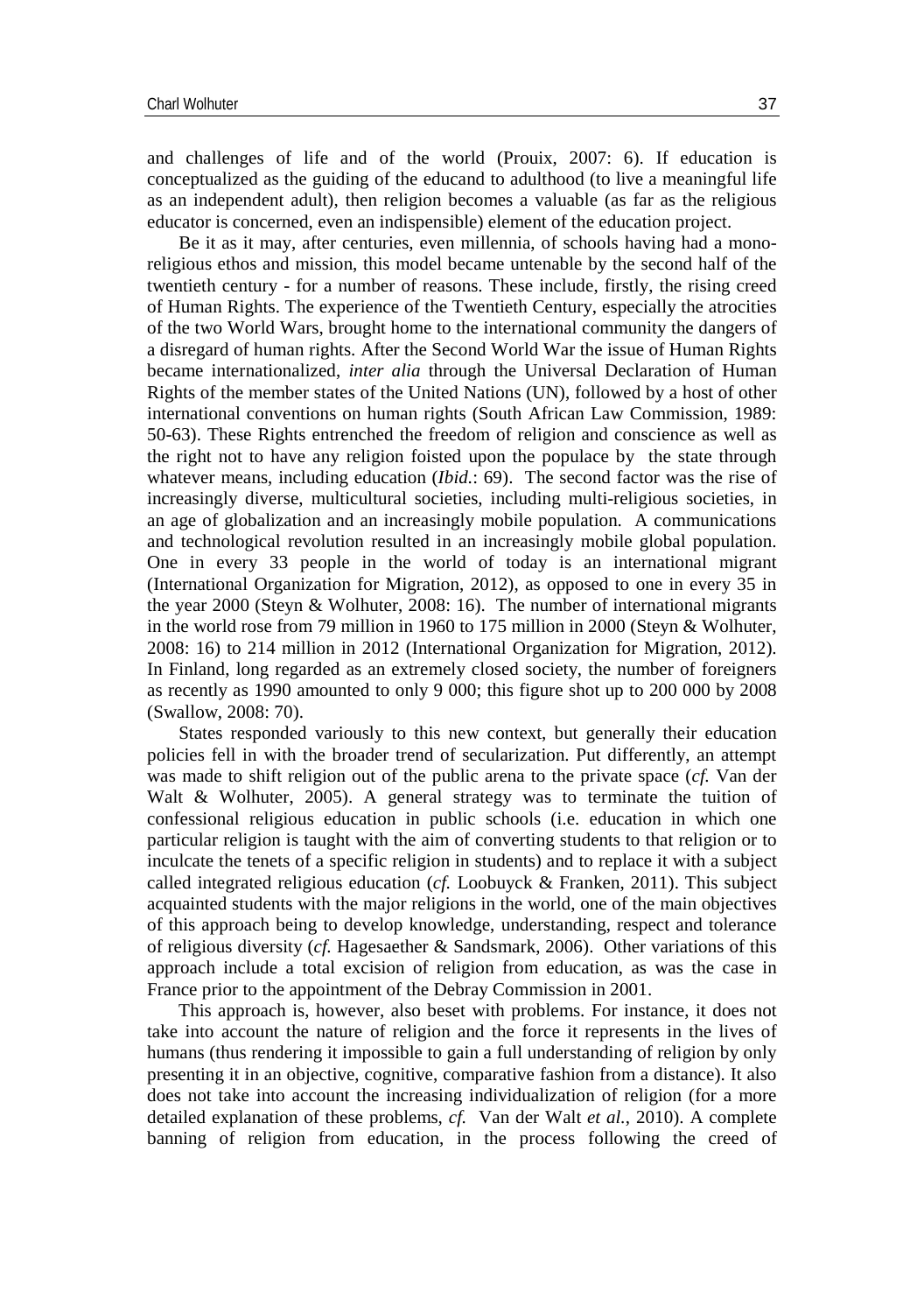and challenges of life and of the world (Prouix, 2007: 6). If education is conceptualized as the guiding of the educand to adulthood (to live a meaningful life as an independent adult), then religion becomes a valuable (as far as the religious educator is concerned, even an indispensible) element of the education project.

Be it as it may, after centuries, even millennia, of schools having had a monoreligious ethos and mission, this model became untenable by the second half of the twentieth century - for a number of reasons. These include, firstly, the rising creed of Human Rights. The experience of the Twentieth Century, especially the atrocities of the two World Wars, brought home to the international community the dangers of a disregard of human rights. After the Second World War the issue of Human Rights became internationalized, *inter alia* through the Universal Declaration of Human Rights of the member states of the United Nations (UN), followed by a host of other international conventions on human rights (South African Law Commission, 1989: 50-63). These Rights entrenched the freedom of religion and conscience as well as the right not to have any religion foisted upon the populace by the state through whatever means, including education (*Ibid.*: 69). The second factor was the rise of increasingly diverse, multicultural societies, including multi-religious societies, in an age of globalization and an increasingly mobile population. A communications and technological revolution resulted in an increasingly mobile global population. One in every 33 people in the world of today is an international migrant (International Organization for Migration, 2012), as opposed to one in every 35 in the year 2000 (Steyn & Wolhuter, 2008: 16). The number of international migrants in the world rose from 79 million in 1960 to 175 million in 2000 (Steyn & Wolhuter, 2008: 16) to 214 million in 2012 (International Organization for Migration, 2012). In Finland, long regarded as an extremely closed society, the number of foreigners as recently as 1990 amounted to only 9 000; this figure shot up to 200 000 by 2008 (Swallow, 2008: 70).

States responded variously to this new context, but generally their education policies fell in with the broader trend of secularization. Put differently, an attempt was made to shift religion out of the public arena to the private space (*cf.* Van der Walt & Wolhuter, 2005). A general strategy was to terminate the tuition of confessional religious education in public schools (i.e. education in which one particular religion is taught with the aim of converting students to that religion or to inculcate the tenets of a specific religion in students) and to replace it with a subject called integrated religious education (*cf.* Loobuyck & Franken, 2011). This subject acquainted students with the major religions in the world, one of the main objectives of this approach being to develop knowledge, understanding, respect and tolerance of religious diversity (*cf.* Hagesaether & Sandsmark, 2006). Other variations of this approach include a total excision of religion from education, as was the case in France prior to the appointment of the Debray Commission in 2001.

This approach is, however, also beset with problems. For instance, it does not take into account the nature of religion and the force it represents in the lives of humans (thus rendering it impossible to gain a full understanding of religion by only presenting it in an objective, cognitive, comparative fashion from a distance). It also does not take into account the increasing individualization of religion (for a more detailed explanation of these problems, *cf.* Van der Walt *et al.*, 2010). A complete banning of religion from education, in the process following the creed of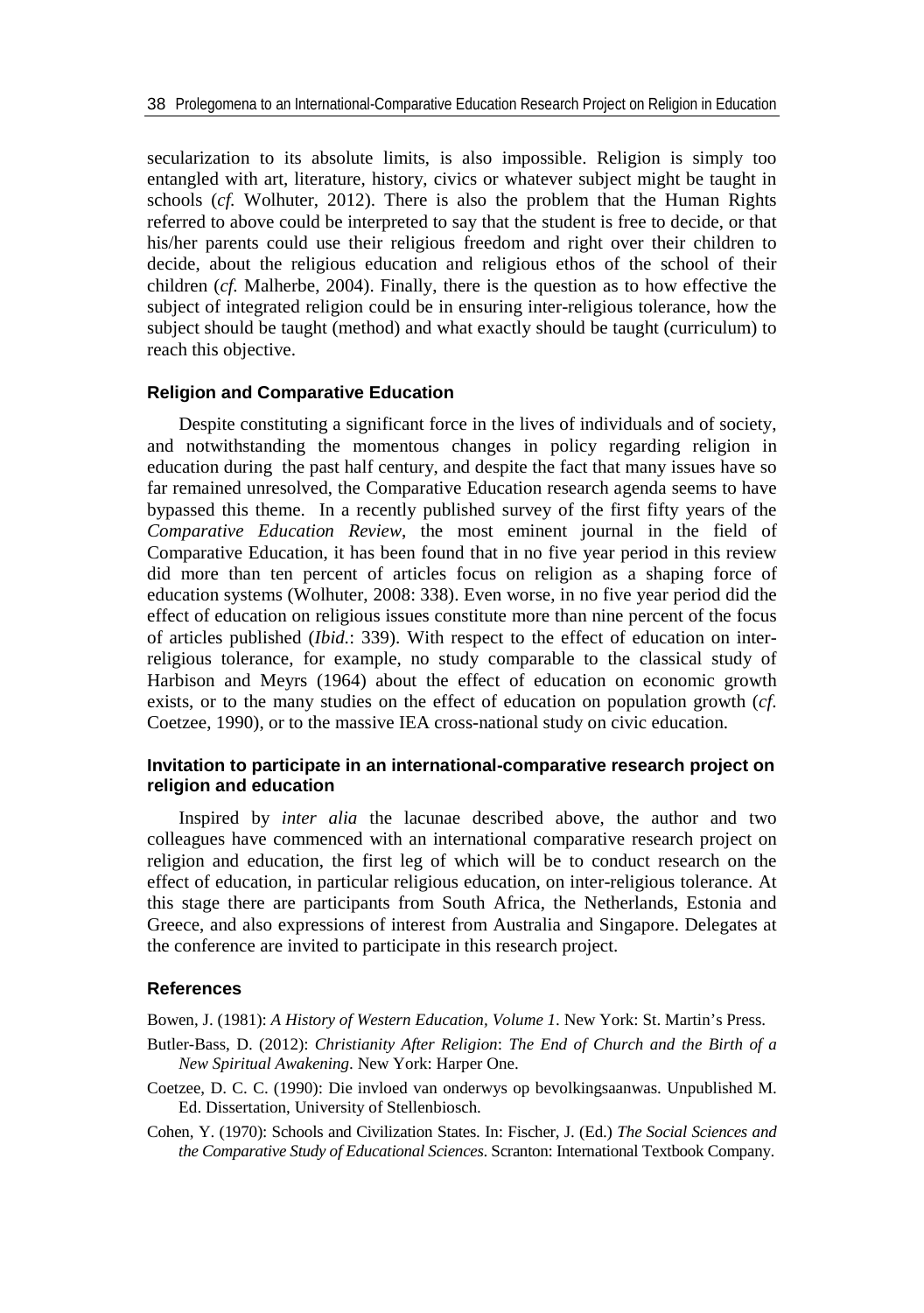secularization to its absolute limits, is also impossible. Religion is simply too entangled with art, literature, history, civics or whatever subject might be taught in schools (*cf.* Wolhuter, 2012). There is also the problem that the Human Rights referred to above could be interpreted to say that the student is free to decide, or that his/her parents could use their religious freedom and right over their children to decide, about the religious education and religious ethos of the school of their children (*cf.* Malherbe, 2004). Finally, there is the question as to how effective the subject of integrated religion could be in ensuring inter-religious tolerance, how the subject should be taught (method) and what exactly should be taught (curriculum) to reach this objective.

### **Religion and Comparative Education**

Despite constituting a significant force in the lives of individuals and of society, and notwithstanding the momentous changes in policy regarding religion in education during the past half century, and despite the fact that many issues have so far remained unresolved, the Comparative Education research agenda seems to have bypassed this theme. In a recently published survey of the first fifty years of the *Comparative Education Review*, the most eminent journal in the field of Comparative Education, it has been found that in no five year period in this review did more than ten percent of articles focus on religion as a shaping force of education systems (Wolhuter, 2008: 338). Even worse, in no five year period did the effect of education on religious issues constitute more than nine percent of the focus of articles published (*Ibid.*: 339). With respect to the effect of education on interreligious tolerance, for example, no study comparable to the classical study of Harbison and Meyrs (1964) about the effect of education on economic growth exists, or to the many studies on the effect of education on population growth (*cf*. Coetzee, 1990), or to the massive IEA cross-national study on civic education.

# **Invitation to participate in an international-comparative research project on religion and education**

Inspired by *inter alia* the lacunae described above, the author and two colleagues have commenced with an international comparative research project on religion and education, the first leg of which will be to conduct research on the effect of education, in particular religious education, on inter-religious tolerance. At this stage there are participants from South Africa, the Netherlands, Estonia and Greece, and also expressions of interest from Australia and Singapore. Delegates at the conference are invited to participate in this research project.

#### **References**

Bowen, J. (1981): *A History of Western Education, Volume 1*. New York: St. Martin's Press.

- Butler-Bass, D. (2012): *Christianity After Religion*: *The End of Church and the Birth of a New Spiritual Awakening*. New York: Harper One.
- Coetzee, D. C. C. (1990): Die invloed van onderwys op bevolkingsaanwas. Unpublished M. Ed. Dissertation, University of Stellenbiosch.

Cohen, Y. (1970): Schools and Civilization States. In: Fischer, J. (Ed.) *The Social Sciences and the Comparative Study of Educational Sciences*. Scranton: International Textbook Company.